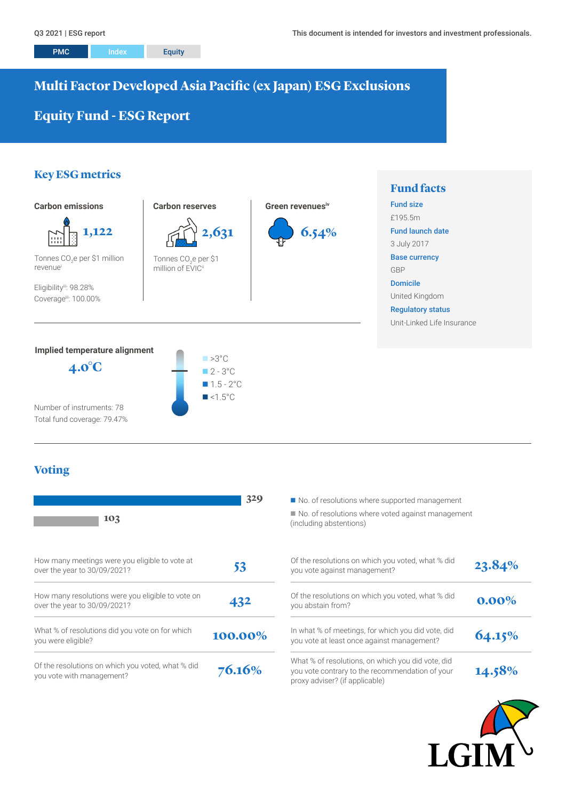**Fund facts**

# **Multi Factor Developed Asia Pacific (ex Japan) ESG Exclusions**

# **Equity Fund - ESG Report**

# **Key ESG metrics**



Number of instruments: 78 Total fund coverage: 79.47%

# **Voting**

| 103                                                                               | 329     | No. of resolutions where supported management<br>No. of resolutions where voted against manage<br>(including abstentions)              |
|-----------------------------------------------------------------------------------|---------|----------------------------------------------------------------------------------------------------------------------------------------|
| How many meetings were you eligible to vote at<br>over the year to 30/09/2021?    | 53      | Of the resolutions on which you voted, what % did<br>you vote against management?                                                      |
| How many resolutions were you eligible to vote on<br>over the year to 30/09/2021? | 432     | Of the resolutions on which you voted, what % did<br>you abstain from?                                                                 |
| What % of resolutions did you vote on for which<br>you were eligible?             | 100.00% | In what % of meetings, for which you did vote, did<br>you vote at least once against management?                                       |
| Of the resolutions on which you voted, what % did<br>you vote with management?    | 76.16%  | What % of resolutions, on which you did vote, did<br>you vote contrary to the recommendation of your<br>proxy adviser? (if applicable) |

 $\blacksquare$  No. of resolutions where voted against management (including abstentions)

| Of the resolutions on which you voted, what % did<br>you vote against management?                                                      | 23.84%   |
|----------------------------------------------------------------------------------------------------------------------------------------|----------|
| Of the resolutions on which you voted, what % did<br>you abstain from?                                                                 | $0.00\%$ |
| In what % of meetings, for which you did vote, did<br>you vote at least once against management?                                       | 64.15%   |
| What % of resolutions, on which you did vote, did<br>you vote contrary to the recommendation of your<br>proxy adviser? (if applicable) | 14.58%   |

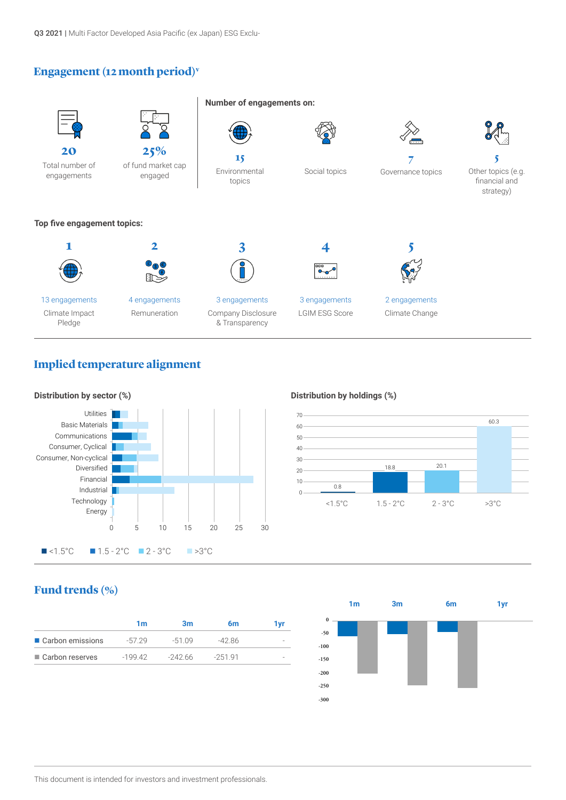Q3 2021 | Multi Factor Developed Asia Pacific (ex Japan) ESG Exclu-

# **Engagement (12 month period)v**



# **Implied temperature alignment**



## **Distribution by holdings (%)**



# **Fund trends (%)**

|                   | 1m        | 3m       | 6m       | 1 vr |
|-------------------|-----------|----------|----------|------|
| Carbon emissions  | -57 29    | $-51.09$ | -42 86   |      |
| ■ Carbon reserves | $-199.42$ | -242.66  | $-25191$ |      |

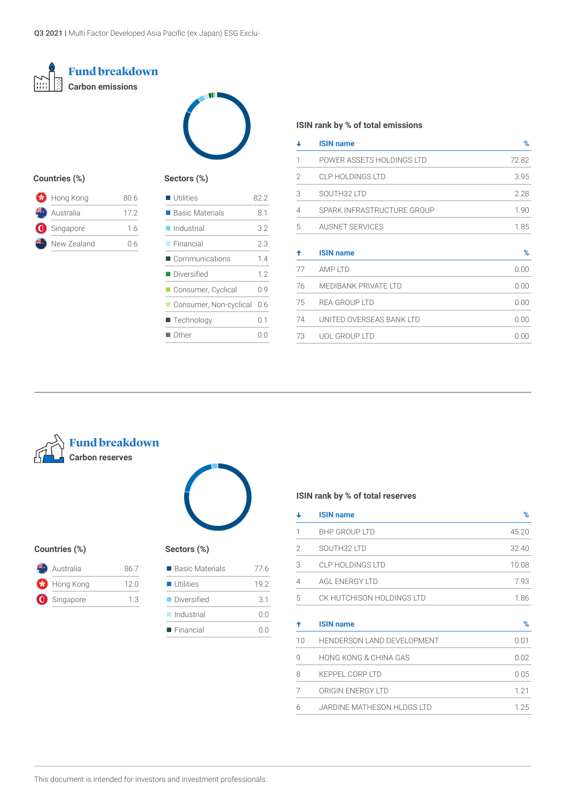



## **Countries (%)**

| <b>*</b> Hong Kong | 80.6 |
|--------------------|------|
| Australia          | 172  |
| Singapore          | 16   |
| New Zealand        | ი 6  |
|                    |      |

## **Sectors (%)**

| $\blacksquare$ Utilities       | 82.2 |
|--------------------------------|------|
| $\blacksquare$ Basic Materials | 8.1  |
| $\blacksquare$ Industrial      | 3.2  |
| $\blacksquare$ Financial       | 2.3  |
| ■ Communications               | 14   |
| ■ Diversified                  | 1.2  |
| ■ Consumer, Cyclical           | 0.9  |
| Consumer, Non-cyclical         | 0.6  |
| ■ Technology                   | 0.1  |
| $\blacksquare$ Other           | 0.0  |

## **ISIN rank by % of total emissions**

| ↓              | <b>ISIN name</b>            | %     |
|----------------|-----------------------------|-------|
| 1              | POWER ASSETS HOLDINGS LTD   | 72.82 |
| $\mathfrak{D}$ | CLP HOLDINGS LTD            | 3.95  |
| 3              | SOUTH32 LTD                 | 2.28  |
| 4              | SPARK INFRASTRUCTURE GROUP  | 1.90  |
| 5              | <b>AUSNET SERVICES</b>      | 1.85  |
|                |                             |       |
| ♠              | <b>ISIN name</b>            | %     |
| 77             | AMP LTD                     | 0.00  |
| 76             | <b>MEDIBANK PRIVATE LTD</b> | 0.00  |
| 75             | <b>REA GROUP LTD</b>        | 0.00  |
| 74             | UNITED OVERSEAS BANK LTD    | 0.00  |
| 73             | <b>UOL GROUP LTD</b>        | 0.00  |



## **Countries (%) Sectors (%)**

| Australia   | 867 |
|-------------|-----|
| Hong Kong   | 120 |
| G Singapore | 13  |

| $\sim$ |  |
|--------|--|

| ■ Basic Materials         | 77 6 |
|---------------------------|------|
| $\blacksquare$ Utilities  | 192  |
| Diversified               | 31   |
| $\blacksquare$ Industrial | 0.0  |
| $\blacksquare$ Financial  |      |

## **ISIN rank by % of total reserves**

|   | <b>ISIN name</b>          | %     |
|---|---------------------------|-------|
|   | <b>BHP GROUP LTD</b>      | 45.20 |
| 2 | SOUTH32 LTD               | 32.40 |
| 3 | CLP HOLDINGS LTD          | 10.08 |
| 4 | AGL ENERGY LTD            | 7.93  |
| 5 | CK HUTCHISON HOLDINGS LTD | 1.86  |
|   | <b>ISIN name</b>          | %     |

| 10 | <b>HENDERSON LAND DEVELOPMENT</b> | $(1.0^{\circ}$ |
|----|-----------------------------------|----------------|
| q  | HONG KONG & CHINA GAS             | 0.02           |
| 8  | KEPPEL CORP LTD                   | 0.05           |
|    | ORIGIN ENERGY LTD                 | 1 21           |
| 6  | JARDINE MATHESON HLDGS LTD        | 1 25           |